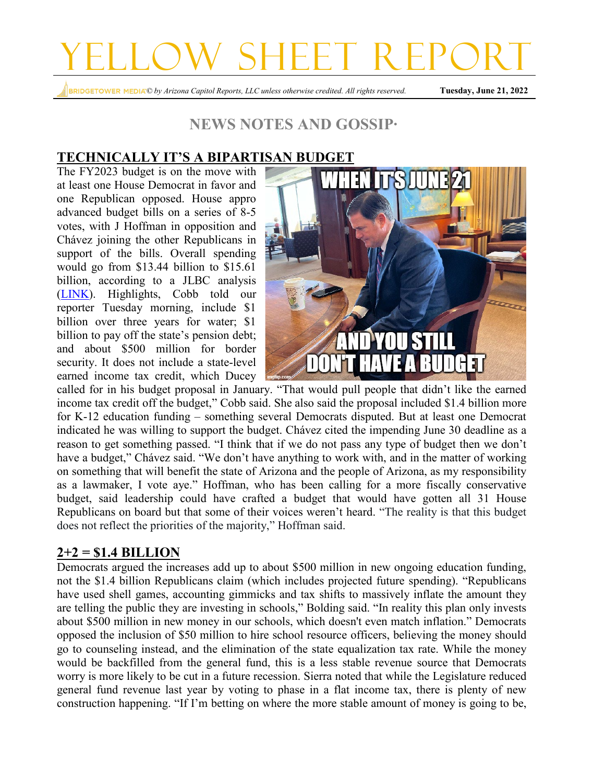# YELLOW SHEET REPORT

*© by Arizona Capitol Reports, LLC unless otherwise credited. All rights reserved.* **Tuesday, June 21, 2022**

#### **NEWS NOTES AND GOSSIP∙**

#### **TECHNICALLY IT'S A BIPARTISAN BUDGET**

The FY2023 budget is on the move with at least one House Democrat in favor and one Republican opposed. House appro advanced budget bills on a series of 8-5 votes, with J Hoffman in opposition and Chávez joining the other Republicans in support of the bills. Overall spending would go from \$13.44 billion to \$15.61 billion, according to a JLBC analysis [\(LINK\)](https://www.azjlbc.gov/budget/H-Splanasintroduced062022.pdf). Highlights, Cobb told our reporter Tuesday morning, include \$1 billion over three years for water; \$1 billion to pay off the state's pension debt; and about \$500 million for border security. It does not include a state-level earned income tax credit, which Ducey



called for in his budget proposal in January. "That would pull people that didn't like the earned income tax credit off the budget," Cobb said. She also said the proposal included \$1.4 billion more for K-12 education funding – something several Democrats disputed. But at least one Democrat indicated he was willing to support the budget. Chávez cited the impending June 30 deadline as a reason to get something passed. "I think that if we do not pass any type of budget then we don't have a budget," Chávez said. "We don't have anything to work with, and in the matter of working on something that will benefit the state of Arizona and the people of Arizona, as my responsibility as a lawmaker, I vote aye." Hoffman, who has been calling for a more fiscally conservative budget, said leadership could have crafted a budget that would have gotten all 31 House Republicans on board but that some of their voices weren't heard. "The reality is that this budget does not reflect the priorities of the majority," Hoffman said.

#### **2+2 = \$1.4 BILLION**

Democrats argued the increases add up to about \$500 million in new ongoing education funding, not the \$1.4 billion Republicans claim (which includes projected future spending). "Republicans have used shell games, accounting gimmicks and tax shifts to massively inflate the amount they are telling the public they are investing in schools," Bolding said. "In reality this plan only invests about \$500 million in new money in our schools, which doesn't even match inflation." Democrats opposed the inclusion of \$50 million to hire school resource officers, believing the money should go to counseling instead, and the elimination of the state equalization tax rate. While the money would be backfilled from the general fund, this is a less stable revenue source that Democrats worry is more likely to be cut in a future recession. Sierra noted that while the Legislature reduced general fund revenue last year by voting to phase in a flat income tax, there is plenty of new construction happening. "If I'm betting on where the more stable amount of money is going to be,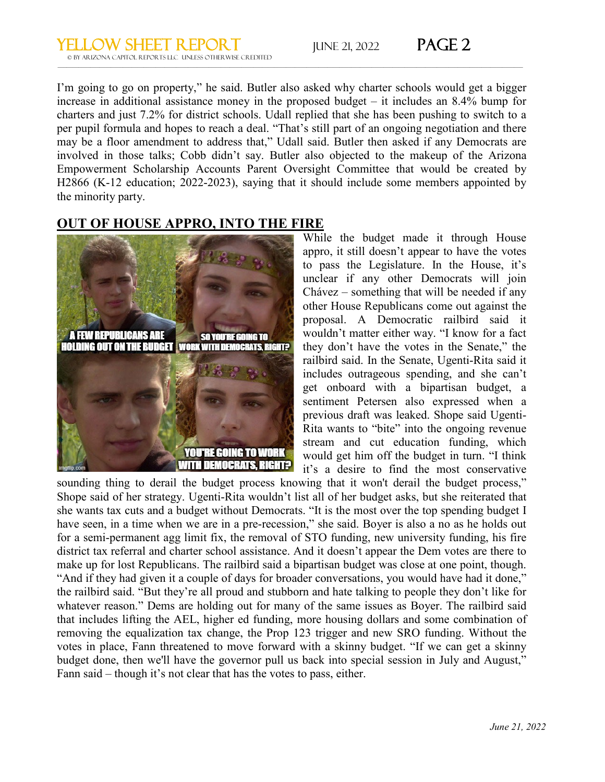I'm going to go on property," he said. Butler also asked why charter schools would get a bigger increase in additional assistance money in the proposed budget – it includes an 8.4% bump for charters and just 7.2% for district schools. Udall replied that she has been pushing to switch to a per pupil formula and hopes to reach a deal. "That's still part of an ongoing negotiation and there may be a floor amendment to address that," Udall said. Butler then asked if any Democrats are involved in those talks; Cobb didn't say. Butler also objected to the makeup of the Arizona Empowerment Scholarship Accounts Parent Oversight Committee that would be created by H2866 (K-12 education; 2022-2023), saying that it should include some members appointed by the minority party.

 $\_$  , and the state of the state of the state of the state of the state of the state of the state of the state of the state of the state of the state of the state of the state of the state of the state of the state of the

#### **OUT OF HOUSE APPRO, INTO THE FIRE**



While the budget made it through House appro, it still doesn't appear to have the votes to pass the Legislature. In the House, it's unclear if any other Democrats will join Chávez – something that will be needed if any other House Republicans come out against the proposal. A Democratic railbird said it wouldn't matter either way. "I know for a fact they don't have the votes in the Senate," the railbird said. In the Senate, Ugenti-Rita said it includes outrageous spending, and she can't get onboard with a bipartisan budget, a sentiment Petersen also expressed when a previous draft was leaked. Shope said Ugenti-Rita wants to "bite" into the ongoing revenue stream and cut education funding, which would get him off the budget in turn. "I think it's a desire to find the most conservative

sounding thing to derail the budget process knowing that it won't derail the budget process," Shope said of her strategy. Ugenti-Rita wouldn't list all of her budget asks, but she reiterated that she wants tax cuts and a budget without Democrats. "It is the most over the top spending budget I have seen, in a time when we are in a pre-recession," she said. Boyer is also a no as he holds out for a semi-permanent agg limit fix, the removal of STO funding, new university funding, his fire district tax referral and charter school assistance. And it doesn't appear the Dem votes are there to make up for lost Republicans. The railbird said a bipartisan budget was close at one point, though. "And if they had given it a couple of days for broader conversations, you would have had it done," the railbird said. "But they're all proud and stubborn and hate talking to people they don't like for whatever reason." Dems are holding out for many of the same issues as Boyer. The railbird said that includes lifting the AEL, higher ed funding, more housing dollars and some combination of removing the equalization tax change, the Prop 123 trigger and new SRO funding. Without the votes in place, Fann threatened to move forward with a skinny budget. "If we can get a skinny budget done, then we'll have the governor pull us back into special session in July and August," Fann said – though it's not clear that has the votes to pass, either.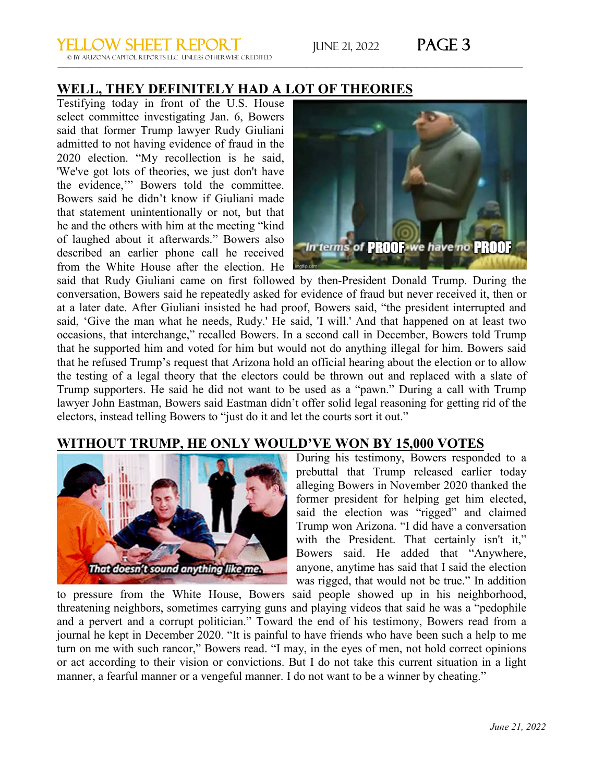# **YELLOW SHEET REPORT JUNE 21, 2022 PAGE 3**

 $\_$  , and the state of the state of the state of the state of the state of the state of the state of the state of the state of the state of the state of the state of the state of the state of the state of the state of the

#### **WELL, THEY DEFINITELY HAD A LOT OF THEORIES**

Testifying today in front of the U.S. House select committee investigating Jan. 6, Bowers said that former Trump lawyer Rudy Giuliani admitted to not having evidence of fraud in the 2020 election. "My recollection is he said, 'We've got lots of theories, we just don't have the evidence,'" Bowers told the committee. Bowers said he didn't know if Giuliani made that statement unintentionally or not, but that he and the others with him at the meeting "kind of laughed about it afterwards." Bowers also described an earlier phone call he received from the White House after the election. He



said that Rudy Giuliani came on first followed by then-President Donald Trump. During the conversation, Bowers said he repeatedly asked for evidence of fraud but never received it, then or at a later date. After Giuliani insisted he had proof, Bowers said, "the president interrupted and said, 'Give the man what he needs, Rudy.' He said, 'I will.' And that happened on at least two occasions, that interchange," recalled Bowers. In a second call in December, Bowers told Trump that he supported him and voted for him but would not do anything illegal for him. Bowers said that he refused Trump's request that Arizona hold an official hearing about the election or to allow the testing of a legal theory that the electors could be thrown out and replaced with a slate of Trump supporters. He said he did not want to be used as a "pawn." During a call with Trump lawyer John Eastman, Bowers said Eastman didn't offer solid legal reasoning for getting rid of the electors, instead telling Bowers to "just do it and let the courts sort it out."

#### **WITHOUT TRUMP, HE ONLY WOULD'VE WON BY 15,000 VOTES**



During his testimony, Bowers responded to a prebuttal that Trump released earlier today alleging Bowers in November 2020 thanked the former president for helping get him elected, said the election was "rigged" and claimed Trump won Arizona. "I did have a conversation with the President. That certainly isn't it," Bowers said. He added that "Anywhere, anyone, anytime has said that I said the election was rigged, that would not be true." In addition

to pressure from the White House, Bowers said people showed up in his neighborhood, threatening neighbors, sometimes carrying guns and playing videos that said he was a "pedophile and a pervert and a corrupt politician." Toward the end of his testimony, Bowers read from a journal he kept in December 2020. "It is painful to have friends who have been such a help to me turn on me with such rancor," Bowers read. "I may, in the eyes of men, not hold correct opinions or act according to their vision or convictions. But I do not take this current situation in a light manner, a fearful manner or a vengeful manner. I do not want to be a winner by cheating."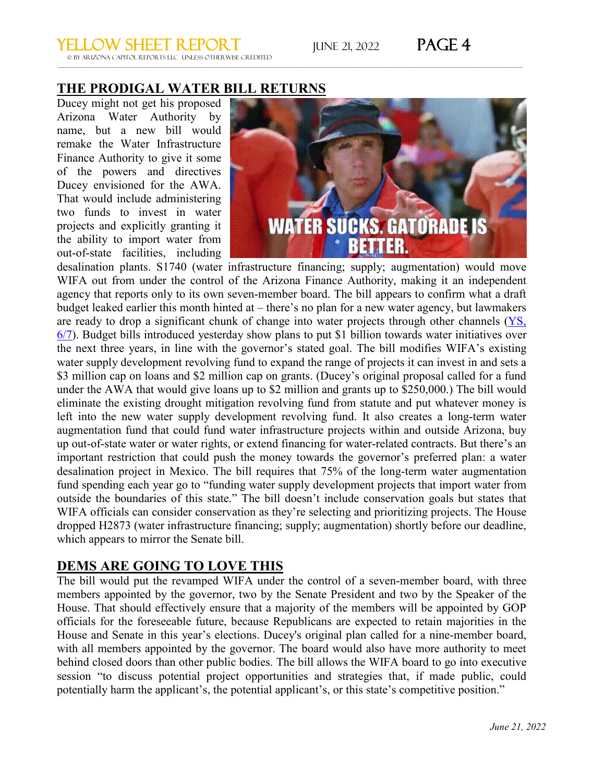# **YELLOW SHEET REPORT JUNE 21, 2022 PAGE 4**

 $\_$  , and the state of the state of the state of the state of the state of the state of the state of the state of the state of the state of the state of the state of the state of the state of the state of the state of the

#### **THE PRODIGAL WATER BILL RETURNS**

Ducey might not get his proposed Arizona Water Authority by name, but a new bill would remake the Water Infrastructure Finance Authority to give it some of the powers and directives Ducey envisioned for the AWA. That would include administering two funds to invest in water projects and explicitly granting it the ability to import water from out-of-state facilities, including



desalination plants. S1740 (water infrastructure financing; supply; augmentation) would move WIFA out from under the control of the Arizona Finance Authority, making it an independent agency that reports only to its own seven-member board. The bill appears to confirm what a draft budget leaked earlier this month hinted at – there's no plan for a new water agency, but lawmakers are ready to drop a significant chunk of change into water projects through other channels [\(YS,](https://yellowsheetreport.com/2022/06/07/at-least-ducey-is-on-board/)  [6/7\)](https://yellowsheetreport.com/2022/06/07/at-least-ducey-is-on-board/). Budget bills introduced yesterday show plans to put \$1 billion towards water initiatives over the next three years, in line with the governor's stated goal. The bill modifies WIFA's existing water supply development revolving fund to expand the range of projects it can invest in and sets a \$3 million cap on loans and \$2 million cap on grants. (Ducey's original proposal called for a fund under the AWA that would give loans up to \$2 million and grants up to \$250,000.) The bill would eliminate the existing drought mitigation revolving fund from statute and put whatever money is left into the new water supply development revolving fund. It also creates a long-term water augmentation fund that could fund water infrastructure projects within and outside Arizona, buy up out-of-state water or water rights, or extend financing for water-related contracts. But there's an important restriction that could push the money towards the governor's preferred plan: a water desalination project in Mexico. The bill requires that 75% of the long-term water augmentation fund spending each year go to "funding water supply development projects that import water from outside the boundaries of this state." The bill doesn't include conservation goals but states that WIFA officials can consider conservation as they're selecting and prioritizing projects. The House dropped H2873 (water infrastructure financing; supply; augmentation) shortly before our deadline, which appears to mirror the Senate bill.

#### **DEMS ARE GOING TO LOVE THIS**

The bill would put the revamped WIFA under the control of a seven-member board, with three members appointed by the governor, two by the Senate President and two by the Speaker of the House. That should effectively ensure that a majority of the members will be appointed by GOP officials for the foreseeable future, because Republicans are expected to retain majorities in the House and Senate in this year's elections. Ducey's original plan called for a nine-member board, with all members appointed by the governor. The board would also have more authority to meet behind closed doors than other public bodies. The bill allows the WIFA board to go into executive session "to discuss potential project opportunities and strategies that, if made public, could potentially harm the applicant's, the potential applicant's, or this state's competitive position."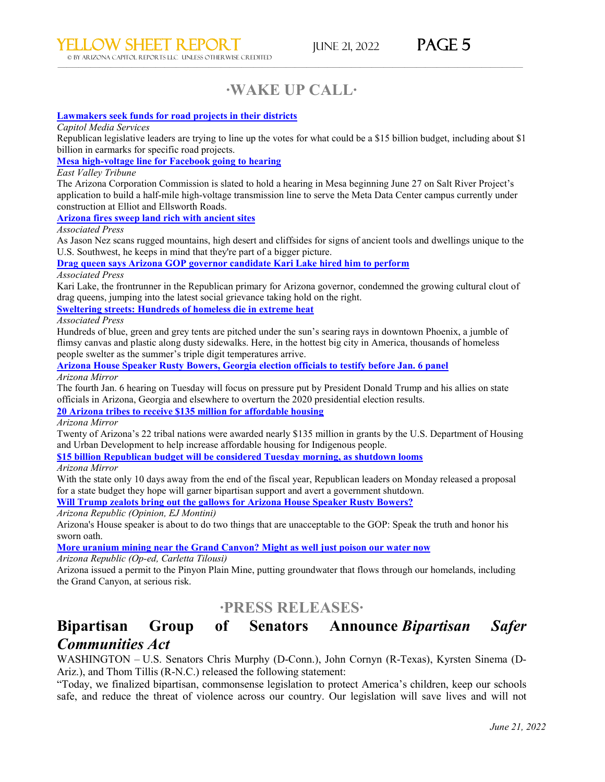# **∙WAKE UP CALL∙**

 $\_$  , and the state of the state of the state of the state of the state of the state of the state of the state of the state of the state of the state of the state of the state of the state of the state of the state of the

#### **[Lawmakers](https://nam12.safelinks.protection.outlook.com/?url=https%3A%2F%2Fnews.azcapitoltimes.com%2Facton%2Fct%2F22716%2Fs-1964-2206%2FBct%2Fq-005d%2Fl-0021%3A2a8%2Fct1_0%2F1%2Flu%3Fsid%3DTV2%253APCw9GZN6l&data=05%7C01%7Cwschutsky%40azcapitoltimes.com%7C898005b7535b488db4e208da539f4053%7C19066f1637ab495782af7cb29bcd78a3%7C1%7C0%7C637914240699362264%7CUnknown%7CTWFpbGZsb3d8eyJWIjoiMC4wLjAwMDAiLCJQIjoiV2luMzIiLCJBTiI6Ik1haWwiLCJXVCI6Mn0%3D%7C3000%7C%7C%7C&sdata=o%2BuH3EokkRtiwuKuE%2FoPTQkpxpRzJPvHNG3TDcStcl4%3D&reserved=0) seek funds for road projects in their districts**

*Capitol Media Services*

Republican legislative leaders are trying to line up the votes for what could be a \$15 billion budget, including about \$1 billion in earmarks for specific road projects.

**Mesa [high-voltage](https://nam12.safelinks.protection.outlook.com/?url=https%3A%2F%2Fnews.azcapitoltimes.com%2Facton%2Fct%2F22716%2Fs-1964-2206%2FBct%2Fq-005d%2Fl-0021%3A2a8%2Fct2_0%2F1%2Flu%3Fsid%3DTV2%253APCw9GZN6l&data=05%7C01%7Cwschutsky%40azcapitoltimes.com%7C898005b7535b488db4e208da539f4053%7C19066f1637ab495782af7cb29bcd78a3%7C1%7C0%7C637914240699362264%7CUnknown%7CTWFpbGZsb3d8eyJWIjoiMC4wLjAwMDAiLCJQIjoiV2luMzIiLCJBTiI6Ik1haWwiLCJXVCI6Mn0%3D%7C3000%7C%7C%7C&sdata=P0bBakLJtKTvk%2Bi6yTIXLaF8Vk48Ui7V4BjEAvO4LOI%3D&reserved=0) line for Facebook going to hearing**

*East Valley Tribune*

The Arizona Corporation Commission is slated to hold a hearing in Mesa beginning June 27 on Salt River Project's application to build a half-mile high-voltage transmission line to serve the Meta Data Center campus currently under construction at Elliot and Ellsworth Roads.

**[Arizona](https://nam12.safelinks.protection.outlook.com/?url=https%3A%2F%2Fnews.azcapitoltimes.com%2Facton%2Fct%2F22716%2Fs-1964-2206%2FBct%2Fq-005d%2Fl-0021%3A2a8%2Fct3_0%2F1%2Flu%3Fsid%3DTV2%253APCw9GZN6l&data=05%7C01%7Cwschutsky%40azcapitoltimes.com%7C898005b7535b488db4e208da539f4053%7C19066f1637ab495782af7cb29bcd78a3%7C1%7C0%7C637914240699362264%7CUnknown%7CTWFpbGZsb3d8eyJWIjoiMC4wLjAwMDAiLCJQIjoiV2luMzIiLCJBTiI6Ik1haWwiLCJXVCI6Mn0%3D%7C3000%7C%7C%7C&sdata=BEE8R87vcEK5BH4ptvkwq1fYNlAuvvK23aSmHu2%2BBdA%3D&reserved=0) fires sweep land rich with ancient sites**

*Associated Press*

As Jason Nez scans rugged mountains, high desert and cliffsides for signs of ancient tools and dwellings unique to the U.S. Southwest, he keeps in mind that they're part of a bigger picture.

**Drag queen says Arizona GOP governor [candidate](https://nam12.safelinks.protection.outlook.com/?url=https%3A%2F%2Fnews.azcapitoltimes.com%2Facton%2Fct%2F22716%2Fs-1964-2206%2FBct%2Fq-005d%2Fl-0021%3A2a8%2Fct4_0%2F1%2Flu%3Fsid%3DTV2%253APCw9GZN6l&data=05%7C01%7Cwschutsky%40azcapitoltimes.com%7C898005b7535b488db4e208da539f4053%7C19066f1637ab495782af7cb29bcd78a3%7C1%7C0%7C637914240699362264%7CUnknown%7CTWFpbGZsb3d8eyJWIjoiMC4wLjAwMDAiLCJQIjoiV2luMzIiLCJBTiI6Ik1haWwiLCJXVCI6Mn0%3D%7C3000%7C%7C%7C&sdata=z%2F%2BaIrCFQZIhEseMkj4L2%2BJKyLmDlSDvH76zlB%2B7Lrs%3D&reserved=0) Kari Lake hired him to perform**

*Associated Press*

Kari Lake, the frontrunner in the Republican primary for Arizona governor, condemned the growing cultural clout of drag queens, jumping into the latest social grievance taking hold on the right.

**[Sweltering](https://nam12.safelinks.protection.outlook.com/?url=https%3A%2F%2Fnews.azcapitoltimes.com%2Facton%2Fct%2F22716%2Fs-1964-2206%2FBct%2Fq-005d%2Fl-0021%3A2a8%2Fct5_0%2F1%2Flu%3Fsid%3DTV2%253APCw9GZN6l&data=05%7C01%7Cwschutsky%40azcapitoltimes.com%7C898005b7535b488db4e208da539f4053%7C19066f1637ab495782af7cb29bcd78a3%7C1%7C0%7C637914240699362264%7CUnknown%7CTWFpbGZsb3d8eyJWIjoiMC4wLjAwMDAiLCJQIjoiV2luMzIiLCJBTiI6Ik1haWwiLCJXVCI6Mn0%3D%7C3000%7C%7C%7C&sdata=65sUhapr4WFz0%2B4KDv2OZ3nauS%2BiaeYV1naoVAGx6%2Fw%3D&reserved=0) streets: Hundreds of homeless die in extreme heat**

*Associated Press*

Hundreds of blue, green and grey tents are pitched under the sun's searing rays in downtown Phoenix, a jumble of flimsy canvas and plastic along dusty sidewalks. Here, in the hottest big city in America, thousands of homeless people swelter as the summer's triple digit temperatures arrive.

**Arizona House Speaker Rusty Bowers, Georgia election officials to testify before [Jan. 6 panel](https://nam12.safelinks.protection.outlook.com/?url=https%3A%2F%2Fnews.azcapitoltimes.com%2Facton%2Fct%2F22716%2Fs-1964-2206%2FBct%2Fq-005d%2Fl-0021%3A2a8%2Fct6_0%2F1%2Flu%3Fsid%3DTV2%253APCw9GZN6l&data=05%7C01%7Cwschutsky%40azcapitoltimes.com%7C898005b7535b488db4e208da539f4053%7C19066f1637ab495782af7cb29bcd78a3%7C1%7C0%7C637914240699362264%7CUnknown%7CTWFpbGZsb3d8eyJWIjoiMC4wLjAwMDAiLCJQIjoiV2luMzIiLCJBTiI6Ik1haWwiLCJXVCI6Mn0%3D%7C3000%7C%7C%7C&sdata=ozqerx4JIbddvgd62uHOTdR5%2Bg9O4G7%2BwVVR4ZD5otI%3D&reserved=0)** *Arizona Mirror*

The fourth Jan. 6 hearing on Tuesday will focus on pressure put by President Donald Trump and his allies on state officials in Arizona, Georgia and elsewhere to overturn the 2020 presidential election results.

**20 Arizona tribes to receive \$135 million for [affordable](https://nam12.safelinks.protection.outlook.com/?url=https%3A%2F%2Fnews.azcapitoltimes.com%2Facton%2Fct%2F22716%2Fs-1964-2206%2FBct%2Fq-005d%2Fl-0021%3A2a8%2Fct7_0%2F1%2Flu%3Fsid%3DTV2%253APCw9GZN6l&data=05%7C01%7Cwschutsky%40azcapitoltimes.com%7C898005b7535b488db4e208da539f4053%7C19066f1637ab495782af7cb29bcd78a3%7C1%7C0%7C637914240699362264%7CUnknown%7CTWFpbGZsb3d8eyJWIjoiMC4wLjAwMDAiLCJQIjoiV2luMzIiLCJBTiI6Ik1haWwiLCJXVCI6Mn0%3D%7C3000%7C%7C%7C&sdata=Cf4cg3HSeW8pZ%2FWJbItkdPCnwgtG2jkCi5lWKjlxVF4%3D&reserved=0) housing**

*Arizona Mirror*

Twenty of Arizona's 22 tribal nations were awarded nearly \$135 million in grants by the U.S. Department of Housing and Urban Development to help increase affordable housing for Indigenous people.

**\$15 billion [Republican](https://nam12.safelinks.protection.outlook.com/?url=https%3A%2F%2Fnews.azcapitoltimes.com%2Facton%2Fct%2F22716%2Fs-1964-2206%2FBct%2Fq-005d%2Fl-0021%3A2a8%2Fct8_0%2F1%2Flu%3Fsid%3DTV2%253APCw9GZN6l&data=05%7C01%7Cwschutsky%40azcapitoltimes.com%7C898005b7535b488db4e208da539f4053%7C19066f1637ab495782af7cb29bcd78a3%7C1%7C0%7C637914240699362264%7CUnknown%7CTWFpbGZsb3d8eyJWIjoiMC4wLjAwMDAiLCJQIjoiV2luMzIiLCJBTiI6Ik1haWwiLCJXVCI6Mn0%3D%7C3000%7C%7C%7C&sdata=i%2FhYaZwLfkFPOMTB1KTRBCpUiN5gFCH%2FshkaM%2BVkwDw%3D&reserved=0) budget will be considered Tuesday morning, as shutdown looms**

*Arizona Mirror*

With the state only 10 days away from the end of the fiscal year, Republican leaders on Monday released a proposal for a state budget they hope will garner bipartisan support and avert a government shutdown.

**Will Trump zealots bring out the gallows for Arizona House Speaker Rusty [Bowers?](https://nam12.safelinks.protection.outlook.com/?url=https%3A%2F%2Fnews.azcapitoltimes.com%2Facton%2Fct%2F22716%2Fs-1964-2206%2FBct%2Fq-005d%2Fl-0021%3A2a8%2Fct9_0%2F1%2Flu%3Fsid%3DTV2%253APCw9GZN6l&data=05%7C01%7Cwschutsky%40azcapitoltimes.com%7C898005b7535b488db4e208da539f4053%7C19066f1637ab495782af7cb29bcd78a3%7C1%7C0%7C637914240699362264%7CUnknown%7CTWFpbGZsb3d8eyJWIjoiMC4wLjAwMDAiLCJQIjoiV2luMzIiLCJBTiI6Ik1haWwiLCJXVCI6Mn0%3D%7C3000%7C%7C%7C&sdata=t3E1O7WZnEis3PiI689L6aLYan76PPz0Pu%2F7IN4VcjQ%3D&reserved=0)**

*Arizona Republic (Opinion, EJ Montini)*

Arizona's House speaker is about to do two things that are unacceptable to the GOP: Speak the truth and honor his sworn oath.

**More uranium mining near the Grand [Canyon?](https://nam12.safelinks.protection.outlook.com/?url=https%3A%2F%2Fnews.azcapitoltimes.com%2Facton%2Fct%2F22716%2Fs-1964-2206%2FBct%2Fq-005d%2Fl-0021%3A2a8%2Fct10_0%2F1%2Flu%3Fsid%3DTV2%253APCw9GZN6l&data=05%7C01%7Cwschutsky%40azcapitoltimes.com%7C898005b7535b488db4e208da539f4053%7C19066f1637ab495782af7cb29bcd78a3%7C1%7C0%7C637914240699362264%7CUnknown%7CTWFpbGZsb3d8eyJWIjoiMC4wLjAwMDAiLCJQIjoiV2luMzIiLCJBTiI6Ik1haWwiLCJXVCI6Mn0%3D%7C3000%7C%7C%7C&sdata=inLhqZ0wR4C0VuFe8gZkBUQyQ8NCPxw7lOHEI39iI94%3D&reserved=0) Might as well just poison our water now**

*Arizona Republic (Op-ed, Carletta Tilousi)*

Arizona issued a permit to the Pinyon Plain Mine, putting groundwater that flows through our homelands, including the Grand Canyon, at serious risk.

#### **∙PRESS RELEASES∙**

#### **Bipartisan Group of Senators Announce** *Bipartisan Safer Communities Act*

WASHINGTON – U.S. Senators Chris Murphy (D-Conn.), John Cornyn (R-Texas), Kyrsten Sinema (D-Ariz.), and Thom Tillis (R-N.C.) released the following statement:

"Today, we finalized bipartisan, commonsense legislation to protect America's children, keep our schools safe, and reduce the threat of violence across our country. Our legislation will save lives and will not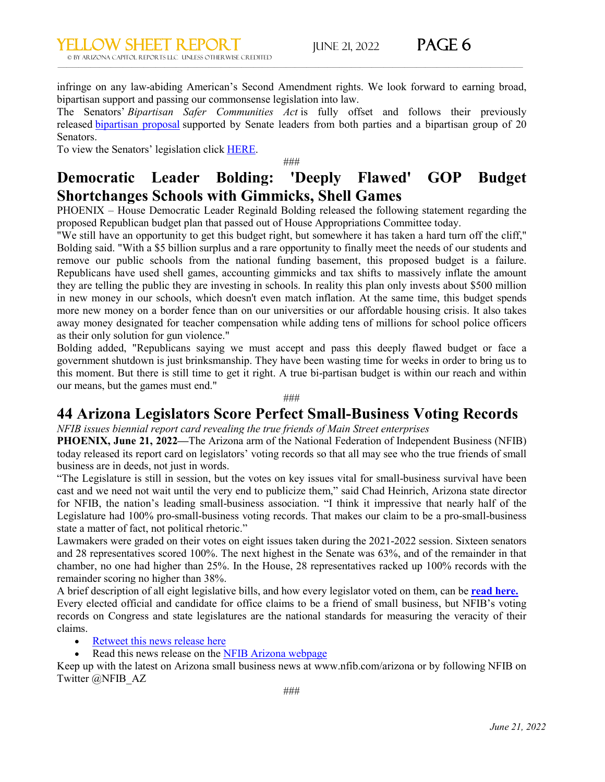infringe on any law-abiding American's Second Amendment rights. We look forward to earning broad, bipartisan support and passing our commonsense legislation into law.

 $\_$  , and the state of the state of the state of the state of the state of the state of the state of the state of the state of the state of the state of the state of the state of the state of the state of the state of the

The Senators' *Bipartisan Safer Communities Act* is fully offset and follows their previously released [bipartisan proposal](https://nam12.safelinks.protection.outlook.com/?url=https%3A%2F%2Fwww.sinema.senate.gov%2Fbipartisan-group-senators-announce-agreement&data=05%7C01%7Cwschutsky%40azcapitoltimes.com%7C6f1b812f3aec448903ab08da53d4a6fa%7C19066f1637ab495782af7cb29bcd78a3%7C1%7C0%7C637914470201903417%7CUnknown%7CTWFpbGZsb3d8eyJWIjoiMC4wLjAwMDAiLCJQIjoiV2luMzIiLCJBTiI6Ik1haWwiLCJXVCI6Mn0%3D%7C3000%7C%7C%7C&sdata=aCyHblPck%2BkahTYzt5SKZgzuu%2BnHI1ApZMB%2BqtjzC%2Fc%3D&reserved=0) supported by Senate leaders from both parties and a bipartisan group of 20 Senators.

To view the Senators' legislation click [HERE.](https://nam12.safelinks.protection.outlook.com/?url=https%3A%2F%2Fwww.sinema.senate.gov%2Fsites%2Fdefault%2Ffiles%2F2022-06%2Fbipartisan_safer_communities_act_text.pdf&data=05%7C01%7Cwschutsky%40azcapitoltimes.com%7C6f1b812f3aec448903ab08da53d4a6fa%7C19066f1637ab495782af7cb29bcd78a3%7C1%7C0%7C637914470201903417%7CUnknown%7CTWFpbGZsb3d8eyJWIjoiMC4wLjAwMDAiLCJQIjoiV2luMzIiLCJBTiI6Ik1haWwiLCJXVCI6Mn0%3D%7C3000%7C%7C%7C&sdata=yAl0WkGjdYBnTCrTen5kxlp8QYnoLvw7Y1NCVfOiz24%3D&reserved=0)

###

# **Democratic Leader Bolding: 'Deeply Flawed' GOP Budget Shortchanges Schools with Gimmicks, Shell Games**

PHOENIX – House Democratic Leader Reginald Bolding released the following statement regarding the proposed Republican budget plan that passed out of House Appropriations Committee today.

"We still have an opportunity to get this budget right, but somewhere it has taken a hard turn off the cliff," Bolding said. "With a \$5 billion surplus and a rare opportunity to finally meet the needs of our students and remove our public schools from the national funding basement, this proposed budget is a failure. Republicans have used shell games, accounting gimmicks and tax shifts to massively inflate the amount they are telling the public they are investing in schools. In reality this plan only invests about \$500 million in new money in our schools, which doesn't even match inflation. At the same time, this budget spends more new money on a border fence than on our universities or our affordable housing crisis. It also takes away money designated for teacher compensation while adding tens of millions for school police officers as their only solution for gun violence."

Bolding added, "Republicans saying we must accept and pass this deeply flawed budget or face a government shutdown is just brinksmanship. They have been wasting time for weeks in order to bring us to this moment. But there is still time to get it right. A true bi-partisan budget is within our reach and within our means, but the games must end."

###

#### **44 Arizona Legislators Score Perfect Small-Business Voting Records**

*NFIB issues biennial report card revealing the true friends of Main Street enterprises*

**PHOENIX, June 21, 2022—**The Arizona arm of the National Federation of Independent Business (NFIB) today released its report card on legislators' voting records so that all may see who the true friends of small business are in deeds, not just in words.

"The Legislature is still in session, but the votes on key issues vital for small-business survival have been cast and we need not wait until the very end to publicize them," said Chad Heinrich, Arizona state director for NFIB, the nation's leading small-business association. "I think it impressive that nearly half of the Legislature had 100% pro-small-business voting records. That makes our claim to be a pro-small-business state a matter of fact, not political rhetoric."

Lawmakers were graded on their votes on eight issues taken during the 2021-2022 session. Sixteen senators and 28 representatives scored 100%. The next highest in the Senate was 63%, and of the remainder in that chamber, no one had higher than 25%. In the House, 28 representatives racked up 100% records with the remainder scoring no higher than 38%.

A brief description of all eight legislative bills, and how every legislator voted on them, can be **read [here.](https://nam12.safelinks.protection.outlook.com/?url=https%3A%2F%2Fu7061146.ct.sendgrid.net%2Fls%2Fclick%3Fupn%3D4tNED-2FM8iDZJQyQ53jATUek-2BQ6yB1fTuw4v733b1WtsP4OkJI7JHaynLbi008NaiofgClFy-2FcKGpueFH8Jb-2BOd3z64rjlQd1x-2BbMqttRS-2BA-3DVGd1_TwKyFLneW3IS8zfgv5SasliVrv6lNO9-2BASxZ6HgJ78B8dmETSI51J9jSYr9TsOcIKg8pT151Y2hWtwB1FFujAUB9GynwW9FVBhvIZ37RNUAEHSrwAYfEFRl9SshlwhLdLIQy63JcTQ-2F1TMTeVVkOsb8A5D-2B3fPx4bWvh0-2Fl9EqsNpovqk1vwbMrb9DmgWqqRDUW-2BFjEg6jhBRzLsJNZCnsGa-2Bak6Kgs2zcGsCWxG-2FskCnUr3WPaJ-2BfwDo5C7TS0ukKXejgr3ofiJR4tqoE-2BWQauIMakCeHHTQgjN-2FNSkw20JntC8BTXkSgETD8y2GWY6TzbNPFnabY3xGGBgaFqdxhJaPfhWnbBzttj-2FqgIxmgc-3D&data=05%7C01%7Cwschutsky%40azcapitoltimes.com%7C73f7557aa54c414de9f508da5395ae68%7C19066f1637ab495782af7cb29bcd78a3%7C1%7C0%7C637914199591934809%7CUnknown%7CTWFpbGZsb3d8eyJWIjoiMC4wLjAwMDAiLCJQIjoiV2luMzIiLCJBTiI6Ik1haWwiLCJXVCI6Mn0%3D%7C3000%7C%7C%7C&sdata=%2F3NvsaLXho%2F%2F7F1DJUX%2BloOtelGIJXrGwJEoXdB3O%2Bk%3D&reserved=0)** Every elected official and candidate for office claims to be a friend of small business, but NFIB's voting records on Congress and state legislatures are the national standards for measuring the veracity of their claims.

• [Retweet](https://nam12.safelinks.protection.outlook.com/?url=https%3A%2F%2Fu7061146.ct.sendgrid.net%2Fls%2Fclick%3Fupn%3D4tNED-2FM8iDZJQyQ53jATUdx9aWkWemoywsWWn6RJOSzlH-2FXlOI0MuiqcUyaFdhlZekt2tTf68Z1Ib72IGJ4u-2F5OXDOKW6wS2y1tqzDKKWkA4K-2B1N-2BiYxQPS0Qy145bUhCIUj_TwKyFLneW3IS8zfgv5SasliVrv6lNO9-2BASxZ6HgJ78B8dmETSI51J9jSYr9TsOcIKg8pT151Y2hWtwB1FFujAUB9GynwW9FVBhvIZ37RNUAEHSrwAYfEFRl9SshlwhLdLIQy63JcTQ-2F1TMTeVVkOsb8A5D-2B3fPx4bWvh0-2Fl9EqsNpovqk1vwbMrb9DmgWqqRDUW-2BFjEg6jhBRzLsJNZCnssE9qUlAu9jp3zfTdNMmuru-2Fx8-2B-2FQV3DZgu7xaz1-2B1vHmI82V7E7WrRU-2BAbZWDguwyk-2Bq5nJjmynVjdGD8-2BAyZeU5LfOtpzZ31p24cFDnFUPPiSC3YCYz-2BolKOT26gz8cdDsJn9iRDPsCcIQz2QymI-3D&data=05%7C01%7Cwschutsky%40azcapitoltimes.com%7C73f7557aa54c414de9f508da5395ae68%7C19066f1637ab495782af7cb29bcd78a3%7C1%7C0%7C637914199591934809%7CUnknown%7CTWFpbGZsb3d8eyJWIjoiMC4wLjAwMDAiLCJQIjoiV2luMzIiLCJBTiI6Ik1haWwiLCJXVCI6Mn0%3D%7C3000%7C%7C%7C&sdata=whZsFoY0TFgfyWjeVBN3Kv20RCM2HplSMAqmVOou2Ts%3D&reserved=0) this news release here

• Read this news release on the NFIB Arizona webpage

Keep up with the latest on Arizona small business news at www.nfib.com/arizona or by following NFIB on Twitter @NFIB\_AZ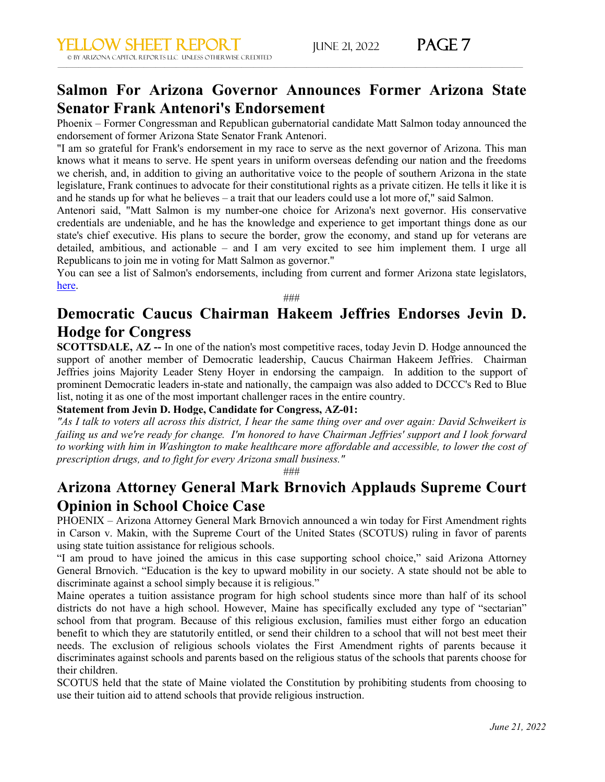# **Salmon For Arizona Governor Announces Former Arizona State Senator Frank Antenori's Endorsement**

 $\_$  , and the state of the state of the state of the state of the state of the state of the state of the state of the state of the state of the state of the state of the state of the state of the state of the state of the

Phoenix – Former Congressman and Republican gubernatorial candidate Matt Salmon today announced the endorsement of former Arizona State Senator Frank Antenori.

"I am so grateful for Frank's endorsement in my race to serve as the next governor of Arizona. This man knows what it means to serve. He spent years in uniform overseas defending our nation and the freedoms we cherish, and, in addition to giving an authoritative voice to the people of southern Arizona in the state legislature, Frank continues to advocate for their constitutional rights as a private citizen. He tells it like it is and he stands up for what he believes – a trait that our leaders could use a lot more of," said Salmon.

Antenori said, "Matt Salmon is my number-one choice for Arizona's next governor. His conservative credentials are undeniable, and he has the knowledge and experience to get important things done as our state's chief executive. His plans to secure the border, grow the economy, and stand up for veterans are detailed, ambitious, and actionable – and I am very excited to see him implement them. I urge all Republicans to join me in voting for Matt Salmon as governor."

You can see a list of Salmon's endorsements, including from current and former Arizona state legislators, [here.](https://nam12.safelinks.protection.outlook.com/?url=https%3A%2F%2Fmattsalmonforaz.us6.list-manage.com%2Ftrack%2Fclick%3Fu%3D93f6123c0e903d5d1cb20ac3a%26id%3Dbe4fba7f26%26e%3D9573815b44&data=05%7C01%7Cwschutsky%40azcapitoltimes.com%7C2310f2dbe2e6456022d308da5398b81d%7C19066f1637ab495782af7cb29bcd78a3%7C1%7C0%7C637914212646968956%7CUnknown%7CTWFpbGZsb3d8eyJWIjoiMC4wLjAwMDAiLCJQIjoiV2luMzIiLCJBTiI6Ik1haWwiLCJXVCI6Mn0%3D%7C3000%7C%7C%7C&sdata=xH5clz7U97HWxMwt27Fr4wqmitosgJQdPoCeNtCvyio%3D&reserved=0)

###

# **Democratic Caucus Chairman Hakeem Jeffries Endorses Jevin D. Hodge for Congress**

**SCOTTSDALE, AZ --** In one of the nation's most competitive races, today Jevin D. Hodge announced the support of another member of Democratic leadership, Caucus Chairman Hakeem Jeffries. Chairman Jeffries joins Majority Leader Steny Hoyer in endorsing the campaign. In addition to the support of prominent Democratic leaders in-state and nationally, the campaign was also added to DCCC's Red to Blue list, noting it as one of the most important challenger races in the entire country.

#### **Statement from Jevin D. Hodge, Candidate for Congress, AZ-01:**

*"As I talk to voters all across this district, I hear the same thing over and over again: David Schweikert is failing us and we're ready for change. I'm honored to have Chairman Jeffries' support and I look forward to working with him in Washington to make healthcare more affordable and accessible, to lower the cost of prescription drugs, and to fight for every Arizona small business."* 

###

# **Arizona Attorney General Mark Brnovich Applauds Supreme Court Opinion in School Choice Case**

PHOENIX – Arizona Attorney General Mark Brnovich announced a win today for First Amendment rights in Carson v. Makin, with the Supreme Court of the United States (SCOTUS) ruling in favor of parents using state tuition assistance for religious schools.

"I am proud to have joined the amicus in this case supporting school choice," said Arizona Attorney General Brnovich. "Education is the key to upward mobility in our society. A state should not be able to discriminate against a school simply because it is religious."

Maine operates a tuition assistance program for high school students since more than half of its school districts do not have a high school. However, Maine has specifically excluded any type of "sectarian" school from that program. Because of this religious exclusion, families must either forgo an education benefit to which they are statutorily entitled, or send their children to a school that will not best meet their needs. The exclusion of religious schools violates the First Amendment rights of parents because it discriminates against schools and parents based on the religious status of the schools that parents choose for their children.

SCOTUS held that the state of Maine violated the Constitution by prohibiting students from choosing to use their tuition aid to attend schools that provide religious instruction.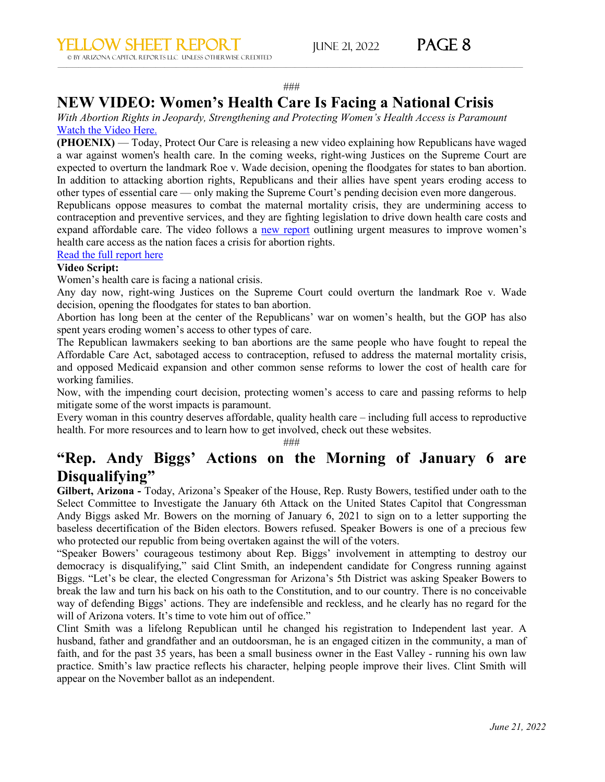###

 $\_$  , and the state of the state of the state of the state of the state of the state of the state of the state of the state of the state of the state of the state of the state of the state of the state of the state of the

# **[NEW VIDEO: Women's Health Care Is Facing a National Crisis](https://nam12.safelinks.protection.outlook.com/?url=https%3A%2F%2Ftwitter.us14.list-manage.com%2Ftrack%2Fclick%3Fu%3Df5f190bc10c3f6a86af6d419d%26id%3D44c8b40f71%26e%3D663ec84427&data=05%7C01%7Cwschutsky%40azcapitoltimes.com%7C0951b9123308463f92bf08da53a4b009%7C19066f1637ab495782af7cb29bcd78a3%7C1%7C0%7C637914264052632106%7CUnknown%7CTWFpbGZsb3d8eyJWIjoiMC4wLjAwMDAiLCJQIjoiV2luMzIiLCJBTiI6Ik1haWwiLCJXVCI6Mn0%3D%7C3000%7C%7C%7C&sdata=hCwiKyIe41ZxRE%2B5Tz6kVz%2FnAe24iWuHYATAnDb0doI%3D&reserved=0)**

*With Abortion Rights in Jeopardy, Strengthening and Protecting Women's Health Access is Paramount*  [Watch](https://nam12.safelinks.protection.outlook.com/?url=https%3A%2F%2Ftwitter.us14.list-manage.com%2Ftrack%2Fclick%3Fu%3Df5f190bc10c3f6a86af6d419d%26id%3D9e9bacca46%26e%3D663ec84427&data=05%7C01%7Cwschutsky%40azcapitoltimes.com%7C0951b9123308463f92bf08da53a4b009%7C19066f1637ab495782af7cb29bcd78a3%7C1%7C0%7C637914264052632106%7CUnknown%7CTWFpbGZsb3d8eyJWIjoiMC4wLjAwMDAiLCJQIjoiV2luMzIiLCJBTiI6Ik1haWwiLCJXVCI6Mn0%3D%7C3000%7C%7C%7C&sdata=OvzYhSA3CkVbDjKhK4MwMwlDWDuaS9NQEscza150Dlo%3D&reserved=0) the Video Here.

**(PHOENIX)** — Today, Protect Our Care is releasing a new video explaining how Republicans have waged a war against women's health care. In the coming weeks, right-wing Justices on the Supreme Court are expected to overturn the landmark Roe v. Wade decision, opening the floodgates for states to ban abortion. In addition to attacking abortion rights, Republicans and their allies have spent years eroding access to other types of essential care — only making the Supreme Court's pending decision even more dangerous. Republicans oppose measures to combat the maternal mortality crisis, they are undermining access to contraception and preventive services, and they are fighting legislation to drive down health care costs and expand affordable care. The video follows a [new report](https://nam12.safelinks.protection.outlook.com/?url=https%3A%2F%2Ftwitter.us14.list-manage.com%2Ftrack%2Fclick%3Fu%3Df5f190bc10c3f6a86af6d419d%26id%3D4d7d92e69d%26e%3D663ec84427&data=05%7C01%7Cwschutsky%40azcapitoltimes.com%7C0951b9123308463f92bf08da53a4b009%7C19066f1637ab495782af7cb29bcd78a3%7C1%7C0%7C637914264052632106%7CUnknown%7CTWFpbGZsb3d8eyJWIjoiMC4wLjAwMDAiLCJQIjoiV2luMzIiLCJBTiI6Ik1haWwiLCJXVCI6Mn0%3D%7C3000%7C%7C%7C&sdata=GN7wYopWStkj6wygeTXDiIyJcNcJbaZJQZoH6TSsWBM%3D&reserved=0) outlining urgent measures to improve women's health care access as the nation faces a crisis for abortion rights.

#### Read the [full report here](https://nam12.safelinks.protection.outlook.com/?url=https%3A%2F%2Ftwitter.us14.list-manage.com%2Ftrack%2Fclick%3Fu%3Df5f190bc10c3f6a86af6d419d%26id%3D36346f72e6%26e%3D663ec84427&data=05%7C01%7Cwschutsky%40azcapitoltimes.com%7C0951b9123308463f92bf08da53a4b009%7C19066f1637ab495782af7cb29bcd78a3%7C1%7C0%7C637914264052632106%7CUnknown%7CTWFpbGZsb3d8eyJWIjoiMC4wLjAwMDAiLCJQIjoiV2luMzIiLCJBTiI6Ik1haWwiLCJXVCI6Mn0%3D%7C3000%7C%7C%7C&sdata=4NdahfZyHdXPLR2NEvDD49yAEDzGqP0JyhcSZyZkzyI%3D&reserved=0)

#### **Video Script:**

Women's health care is facing a national crisis.

Any day now, right-wing Justices on the Supreme Court could overturn the landmark Roe v. Wade decision, opening the floodgates for states to ban abortion.

Abortion has long been at the center of the Republicans' war on women's health, but the GOP has also spent years eroding women's access to other types of care.

The Republican lawmakers seeking to ban abortions are the same people who have fought to repeal the Affordable Care Act, sabotaged access to contraception, refused to address the maternal mortality crisis, and opposed Medicaid expansion and other common sense reforms to lower the cost of health care for working families.

Now, with the impending court decision, protecting women's access to care and passing reforms to help mitigate some of the worst impacts is paramount.

Every woman in this country deserves affordable, quality health care – including full access to reproductive health. For more resources and to learn how to get involved, check out these websites.

###

# **"Rep. Andy Biggs' Actions on the Morning of January 6 are Disqualifying"**

**Gilbert, Arizona -** Today, Arizona's Speaker of the House, Rep. Rusty Bowers, testified under oath to the Select Committee to Investigate the January 6th Attack on the United States Capitol that Congressman Andy Biggs asked Mr. Bowers on the morning of January 6, 2021 to sign on to a letter supporting the baseless decertification of the Biden electors. Bowers refused. Speaker Bowers is one of a precious few who protected our republic from being overtaken against the will of the voters.

"Speaker Bowers' courageous testimony about Rep. Biggs' involvement in attempting to destroy our democracy is disqualifying," said Clint Smith, an independent candidate for Congress running against Biggs. "Let's be clear, the elected Congressman for Arizona's 5th District was asking Speaker Bowers to break the law and turn his back on his oath to the Constitution, and to our country. There is no conceivable way of defending Biggs' actions. They are indefensible and reckless, and he clearly has no regard for the will of Arizona voters. It's time to vote him out of office."

Clint Smith was a lifelong Republican until he changed his registration to Independent last year. A husband, father and grandfather and an outdoorsman, he is an engaged citizen in the community, a man of faith, and for the past 35 years, has been a small business owner in the East Valley - running his own law practice. Smith's law practice reflects his character, helping people improve their lives. Clint Smith will appear on the November ballot as an independent.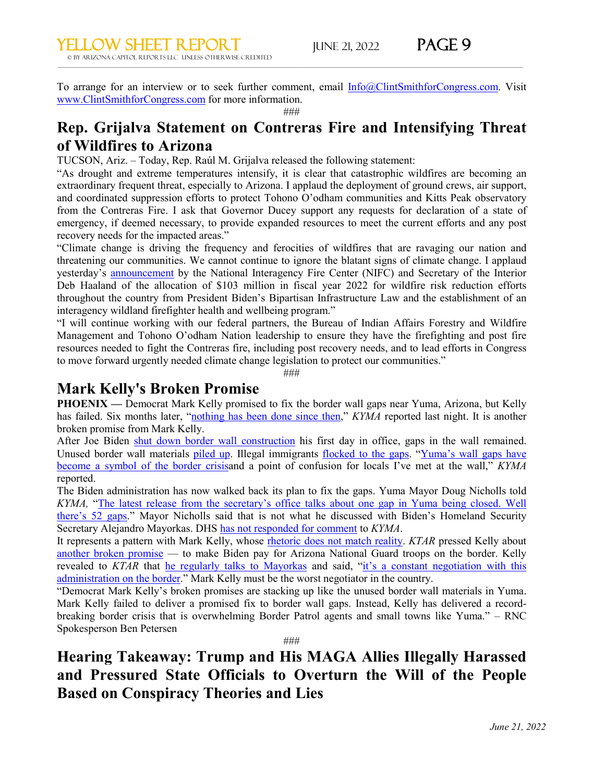To arrange for an interview or to seek further comment, email  $Info@ClintSmithfor Congress.com$ . Visit [www.ClintSmithforCongress.com](https://nam12.safelinks.protection.outlook.com/?url=http%3A%2F%2Fwww.clintsmithforcongress.com%2F&data=05%7C01%7Cwschutsky%40azcapitoltimes.com%7C177d24b57ad24e93821108da53c6f58b%7C19066f1637ab495782af7cb29bcd78a3%7C1%7C0%7C637914411933246997%7CUnknown%7CTWFpbGZsb3d8eyJWIjoiMC4wLjAwMDAiLCJQIjoiV2luMzIiLCJBTiI6Ik1haWwiLCJXVCI6Mn0%3D%7C1000%7C%7C%7C&sdata=U56%2BBSatGBjMxVmtl%2BjCdeLPKlBXyBA2ySqAKKOg%2FZ0%3D&reserved=0) for more information.

 $\_$  , and the state of the state of the state of the state of the state of the state of the state of the state of the state of the state of the state of the state of the state of the state of the state of the state of the

###

# **Rep. Grijalva Statement on Contreras Fire and Intensifying Threat of Wildfires to Arizona**

TUCSON, Ariz. – Today, Rep. Raúl M. Grijalva released the following statement:

"As drought and extreme temperatures intensify, it is clear that catastrophic wildfires are becoming an extraordinary frequent threat, especially to Arizona. I applaud the deployment of ground crews, air support, and coordinated suppression efforts to protect Tohono O'odham communities and Kitts Peak observatory from the Contreras Fire. I ask that Governor Ducey support any requests for declaration of a state of emergency, if deemed necessary, to provide expanded resources to meet the current efforts and any post recovery needs for the impacted areas."

"Climate change is driving the frequency and ferocities of wildfires that are ravaging our nation and threatening our communities. We cannot continue to ignore the blatant signs of climate change. I applaud yesterday's [announcement](https://www.doi.gov/pressreleases/president-bidens-bipartisan-infrastructure-law-provide-103-million-wildfire-mitigation) by the National Interagency Fire Center (NIFC) and Secretary of the Interior Deb Haaland of the allocation of \$103 million in fiscal year 2022 for wildfire risk reduction efforts throughout the country from President Biden's Bipartisan Infrastructure Law and the establishment of an interagency wildland firefighter health and wellbeing program."

"I will continue working with our federal partners, the Bureau of Indian Affairs Forestry and Wildfire Management and Tohono O'odham Nation leadership to ensure they have the firefighting and post fire resources needed to fight the Contreras fire, including post recovery needs, and to lead efforts in Congress to move forward urgently needed climate change legislation to protect our communities."

###

#### **Mark Kelly's Broken Promise**

**PHOENIX** — Democrat Mark Kelly promised to fix the border wall gaps near Yuma, Arizona, but Kelly has failed. Six months later, ["nothing has been done since](https://nam12.safelinks.protection.outlook.com/?url=https%3A%2F%2Fkyma.com%2Fnews%2Ftop-stories%2F2022%2F06%2F20%2Fyumas-border-wall-gaps-remain-open%2F&data=05%7C01%7Cwschutsky%40azcapitoltimes.com%7C245dffaa814f4dacb12308da53a78870%7C19066f1637ab495782af7cb29bcd78a3%7C1%7C0%7C637914276284212948%7CUnknown%7CTWFpbGZsb3d8eyJWIjoiMC4wLjAwMDAiLCJQIjoiV2luMzIiLCJBTiI6Ik1haWwiLCJXVCI6Mn0%3D%7C3000%7C%7C%7C&sdata=FTm8Ny2M%2B%2FTiWRioU2dJwO16BFhm7lQfsZdBjzDgETo%3D&reserved=0) then," *KYMA* reported last night. It is another broken promise from Mark Kelly.

After Joe Biden [shut down border wall construction](https://nam12.safelinks.protection.outlook.com/?url=https%3A%2F%2Fkyma.com%2Fnews%2Ftop-stories%2F2022%2F06%2F20%2Fyumas-border-wall-gaps-remain-open%2F&data=05%7C01%7Cwschutsky%40azcapitoltimes.com%7C245dffaa814f4dacb12308da53a78870%7C19066f1637ab495782af7cb29bcd78a3%7C1%7C0%7C637914276284369170%7CUnknown%7CTWFpbGZsb3d8eyJWIjoiMC4wLjAwMDAiLCJQIjoiV2luMzIiLCJBTiI6Ik1haWwiLCJXVCI6Mn0%3D%7C3000%7C%7C%7C&sdata=b6pg6BoI2tAClbjmVKxME2aSbfjKRR8tzOoRZ8rWJ9w%3D&reserved=0) his first day in office, gaps in the wall remained. Unused border wall materials [piled up.](https://nam12.safelinks.protection.outlook.com/?url=https%3A%2F%2Fkyma.com%2Fnews%2Ftop-stories%2F2022%2F06%2F20%2Fyumas-border-wall-gaps-remain-open%2F&data=05%7C01%7Cwschutsky%40azcapitoltimes.com%7C245dffaa814f4dacb12308da53a78870%7C19066f1637ab495782af7cb29bcd78a3%7C1%7C0%7C637914276284369170%7CUnknown%7CTWFpbGZsb3d8eyJWIjoiMC4wLjAwMDAiLCJQIjoiV2luMzIiLCJBTiI6Ik1haWwiLCJXVCI6Mn0%3D%7C3000%7C%7C%7C&sdata=b6pg6BoI2tAClbjmVKxME2aSbfjKRR8tzOoRZ8rWJ9w%3D&reserved=0) Illegal immigrants [flocked](https://nam12.safelinks.protection.outlook.com/?url=https%3A%2F%2Fkyma.com%2Fnews%2Ftop-stories%2F2022%2F06%2F20%2Fyumas-border-wall-gaps-remain-open%2F&data=05%7C01%7Cwschutsky%40azcapitoltimes.com%7C245dffaa814f4dacb12308da53a78870%7C19066f1637ab495782af7cb29bcd78a3%7C1%7C0%7C637914276284369170%7CUnknown%7CTWFpbGZsb3d8eyJWIjoiMC4wLjAwMDAiLCJQIjoiV2luMzIiLCJBTiI6Ik1haWwiLCJXVCI6Mn0%3D%7C3000%7C%7C%7C&sdata=b6pg6BoI2tAClbjmVKxME2aSbfjKRR8tzOoRZ8rWJ9w%3D&reserved=0) to the gaps. ["Yuma's](https://nam12.safelinks.protection.outlook.com/?url=https%3A%2F%2Fkyma.com%2Fnews%2Ftop-stories%2F2022%2F06%2F20%2Fyumas-border-wall-gaps-remain-open%2F&data=05%7C01%7Cwschutsky%40azcapitoltimes.com%7C245dffaa814f4dacb12308da53a78870%7C19066f1637ab495782af7cb29bcd78a3%7C1%7C0%7C637914276284369170%7CUnknown%7CTWFpbGZsb3d8eyJWIjoiMC4wLjAwMDAiLCJQIjoiV2luMzIiLCJBTiI6Ik1haWwiLCJXVCI6Mn0%3D%7C3000%7C%7C%7C&sdata=b6pg6BoI2tAClbjmVKxME2aSbfjKRR8tzOoRZ8rWJ9w%3D&reserved=0) wall gaps have [become a symbol of the border crisisa](https://nam12.safelinks.protection.outlook.com/?url=https%3A%2F%2Fkyma.com%2Fnews%2Ftop-stories%2F2022%2F06%2F20%2Fyumas-border-wall-gaps-remain-open%2F&data=05%7C01%7Cwschutsky%40azcapitoltimes.com%7C245dffaa814f4dacb12308da53a78870%7C19066f1637ab495782af7cb29bcd78a3%7C1%7C0%7C637914276284369170%7CUnknown%7CTWFpbGZsb3d8eyJWIjoiMC4wLjAwMDAiLCJQIjoiV2luMzIiLCJBTiI6Ik1haWwiLCJXVCI6Mn0%3D%7C3000%7C%7C%7C&sdata=b6pg6BoI2tAClbjmVKxME2aSbfjKRR8tzOoRZ8rWJ9w%3D&reserved=0)nd a point of confusion for locals I've met at the wall," *KYMA* reported.

The Biden administration has now walked back its plan to fix the gaps. Yuma Mayor Doug Nicholls told *KYMA,* "The latest release from the secretary's office talks about one gap in [Yuma being closed. Well](https://nam12.safelinks.protection.outlook.com/?url=https%3A%2F%2Fkyma.com%2Fnews%2Ftop-stories%2F2022%2F06%2F20%2Fyumas-border-wall-gaps-remain-open%2F&data=05%7C01%7Cwschutsky%40azcapitoltimes.com%7C245dffaa814f4dacb12308da53a78870%7C19066f1637ab495782af7cb29bcd78a3%7C1%7C0%7C637914276284369170%7CUnknown%7CTWFpbGZsb3d8eyJWIjoiMC4wLjAwMDAiLCJQIjoiV2luMzIiLCJBTiI6Ik1haWwiLCJXVCI6Mn0%3D%7C3000%7C%7C%7C&sdata=b6pg6BoI2tAClbjmVKxME2aSbfjKRR8tzOoRZ8rWJ9w%3D&reserved=0) [there's 52 gaps.](https://nam12.safelinks.protection.outlook.com/?url=https%3A%2F%2Fkyma.com%2Fnews%2Ftop-stories%2F2022%2F06%2F20%2Fyumas-border-wall-gaps-remain-open%2F&data=05%7C01%7Cwschutsky%40azcapitoltimes.com%7C245dffaa814f4dacb12308da53a78870%7C19066f1637ab495782af7cb29bcd78a3%7C1%7C0%7C637914276284369170%7CUnknown%7CTWFpbGZsb3d8eyJWIjoiMC4wLjAwMDAiLCJQIjoiV2luMzIiLCJBTiI6Ik1haWwiLCJXVCI6Mn0%3D%7C3000%7C%7C%7C&sdata=b6pg6BoI2tAClbjmVKxME2aSbfjKRR8tzOoRZ8rWJ9w%3D&reserved=0)" Mayor Nicholls said that is not what he discussed with Biden's Homeland Security Secretary Alejandro Mayorkas. DHS [has not responded for comment](https://nam12.safelinks.protection.outlook.com/?url=https%3A%2F%2Fkyma.com%2Fnews%2Ftop-stories%2F2022%2F06%2F20%2Fyumas-border-wall-gaps-remain-open%2F&data=05%7C01%7Cwschutsky%40azcapitoltimes.com%7C245dffaa814f4dacb12308da53a78870%7C19066f1637ab495782af7cb29bcd78a3%7C1%7C0%7C637914276284369170%7CUnknown%7CTWFpbGZsb3d8eyJWIjoiMC4wLjAwMDAiLCJQIjoiV2luMzIiLCJBTiI6Ik1haWwiLCJXVCI6Mn0%3D%7C3000%7C%7C%7C&sdata=b6pg6BoI2tAClbjmVKxME2aSbfjKRR8tzOoRZ8rWJ9w%3D&reserved=0) to *KYMA*.

It represents a pattern with Mark Kelly, whose [rhetoric does not](https://nam12.safelinks.protection.outlook.com/?url=https%3A%2F%2Fgop.com%2Fblog%2Ffact-check-mark-kelly-puts-arizona-last-on-border-security-az%2F&data=05%7C01%7Cwschutsky%40azcapitoltimes.com%7C245dffaa814f4dacb12308da53a78870%7C19066f1637ab495782af7cb29bcd78a3%7C1%7C0%7C637914276284369170%7CUnknown%7CTWFpbGZsb3d8eyJWIjoiMC4wLjAwMDAiLCJQIjoiV2luMzIiLCJBTiI6Ik1haWwiLCJXVCI6Mn0%3D%7C3000%7C%7C%7C&sdata=s63qpZCnYo%2Fp1jOt9AVusxjYsbdeXs7EO%2B7KHlZUeMw%3D&reserved=0) match reality. *KTAR* pressed Kelly about [another broken promise](https://nam12.safelinks.protection.outlook.com/?url=https%3A%2F%2Fgop.com%2Fblog%2Fmark-kelly-blames-border-problems-on-white-house-politics-az%2F&data=05%7C01%7Cwschutsky%40azcapitoltimes.com%7C245dffaa814f4dacb12308da53a78870%7C19066f1637ab495782af7cb29bcd78a3%7C1%7C0%7C637914276284369170%7CUnknown%7CTWFpbGZsb3d8eyJWIjoiMC4wLjAwMDAiLCJQIjoiV2luMzIiLCJBTiI6Ik1haWwiLCJXVCI6Mn0%3D%7C3000%7C%7C%7C&sdata=z0V0PUH4XJp6GEzATjcEvpS%2FbPpkZG9hxRTn5deLUVI%3D&reserved=0) — to make Biden pay for Arizona National Guard troops on the border. Kelly revealed to *KTAR* that [he regularly](https://nam12.safelinks.protection.outlook.com/?url=https%3A%2F%2Fgop.com%2Fblog%2Fmark-kelly-blames-border-problems-on-white-house-politics-az%2F&data=05%7C01%7Cwschutsky%40azcapitoltimes.com%7C245dffaa814f4dacb12308da53a78870%7C19066f1637ab495782af7cb29bcd78a3%7C1%7C0%7C637914276284369170%7CUnknown%7CTWFpbGZsb3d8eyJWIjoiMC4wLjAwMDAiLCJQIjoiV2luMzIiLCJBTiI6Ik1haWwiLCJXVCI6Mn0%3D%7C3000%7C%7C%7C&sdata=z0V0PUH4XJp6GEzATjcEvpS%2FbPpkZG9hxRTn5deLUVI%3D&reserved=0) talks to Mayorkas and said, ["it's a constant negotiation with](https://nam12.safelinks.protection.outlook.com/?url=https%3A%2F%2Fgop.com%2Fblog%2Fmark-kelly-blames-border-problems-on-white-house-politics-az%2F&data=05%7C01%7Cwschutsky%40azcapitoltimes.com%7C245dffaa814f4dacb12308da53a78870%7C19066f1637ab495782af7cb29bcd78a3%7C1%7C0%7C637914276284369170%7CUnknown%7CTWFpbGZsb3d8eyJWIjoiMC4wLjAwMDAiLCJQIjoiV2luMzIiLCJBTiI6Ik1haWwiLCJXVCI6Mn0%3D%7C3000%7C%7C%7C&sdata=z0V0PUH4XJp6GEzATjcEvpS%2FbPpkZG9hxRTn5deLUVI%3D&reserved=0) this [administration on the border.](https://nam12.safelinks.protection.outlook.com/?url=https%3A%2F%2Fgop.com%2Fblog%2Fmark-kelly-blames-border-problems-on-white-house-politics-az%2F&data=05%7C01%7Cwschutsky%40azcapitoltimes.com%7C245dffaa814f4dacb12308da53a78870%7C19066f1637ab495782af7cb29bcd78a3%7C1%7C0%7C637914276284369170%7CUnknown%7CTWFpbGZsb3d8eyJWIjoiMC4wLjAwMDAiLCJQIjoiV2luMzIiLCJBTiI6Ik1haWwiLCJXVCI6Mn0%3D%7C3000%7C%7C%7C&sdata=z0V0PUH4XJp6GEzATjcEvpS%2FbPpkZG9hxRTn5deLUVI%3D&reserved=0)" Mark Kelly must be the worst negotiator in the country.

"Democrat Mark Kelly's broken promises are stacking up like the unused border wall materials in Yuma. Mark Kelly failed to deliver a promised fix to border wall gaps. Instead, Kelly has delivered a recordbreaking border crisis that is overwhelming Border Patrol agents and small towns like Yuma." – RNC Spokesperson Ben Petersen

###

# **Hearing Takeaway: [Trump and His MAGA Allies Illegally Harassed](https://nam12.safelinks.protection.outlook.com/?url=https%3A%2F%2Ftwitter.us14.list-manage.com%2Ftrack%2Fclick%3Fu%3Df5f190bc10c3f6a86af6d419d%26id%3D6f4213b2c0%26e%3D663ec84427&data=05%7C01%7Cwschutsky%40azcapitoltimes.com%7Cf2cfd64f4f0d47c5e97508da53c4ac46%7C19066f1637ab495782af7cb29bcd78a3%7C1%7C0%7C637914401429740394%7CUnknown%7CTWFpbGZsb3d8eyJWIjoiMC4wLjAwMDAiLCJQIjoiV2luMzIiLCJBTiI6Ik1haWwiLCJXVCI6Mn0%3D%7C3000%7C%7C%7C&sdata=1cBbgpBvteP41xKXzWA0JY8hwR0N9bdM0VW9egFAgBo%3D&reserved=0)  [and Pressured State Officials to Overturn the Will of](https://nam12.safelinks.protection.outlook.com/?url=https%3A%2F%2Ftwitter.us14.list-manage.com%2Ftrack%2Fclick%3Fu%3Df5f190bc10c3f6a86af6d419d%26id%3D6f4213b2c0%26e%3D663ec84427&data=05%7C01%7Cwschutsky%40azcapitoltimes.com%7Cf2cfd64f4f0d47c5e97508da53c4ac46%7C19066f1637ab495782af7cb29bcd78a3%7C1%7C0%7C637914401429740394%7CUnknown%7CTWFpbGZsb3d8eyJWIjoiMC4wLjAwMDAiLCJQIjoiV2luMzIiLCJBTiI6Ik1haWwiLCJXVCI6Mn0%3D%7C3000%7C%7C%7C&sdata=1cBbgpBvteP41xKXzWA0JY8hwR0N9bdM0VW9egFAgBo%3D&reserved=0) the People Based [on Conspiracy Theories and Lies](https://nam12.safelinks.protection.outlook.com/?url=https%3A%2F%2Ftwitter.us14.list-manage.com%2Ftrack%2Fclick%3Fu%3Df5f190bc10c3f6a86af6d419d%26id%3D6f4213b2c0%26e%3D663ec84427&data=05%7C01%7Cwschutsky%40azcapitoltimes.com%7Cf2cfd64f4f0d47c5e97508da53c4ac46%7C19066f1637ab495782af7cb29bcd78a3%7C1%7C0%7C637914401429740394%7CUnknown%7CTWFpbGZsb3d8eyJWIjoiMC4wLjAwMDAiLCJQIjoiV2luMzIiLCJBTiI6Ik1haWwiLCJXVCI6Mn0%3D%7C3000%7C%7C%7C&sdata=1cBbgpBvteP41xKXzWA0JY8hwR0N9bdM0VW9egFAgBo%3D&reserved=0)**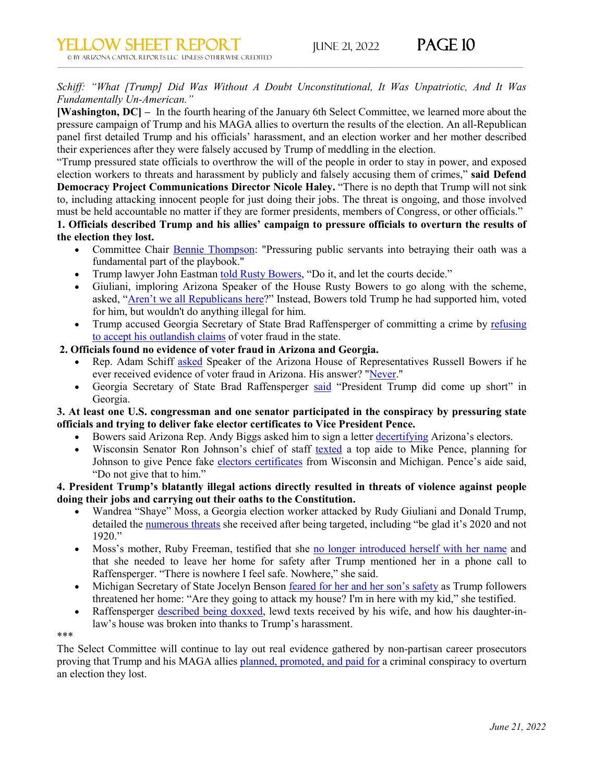#### *Schiff: "What [Trump] Did Was Without A Doubt Unconstitutional, It Was Unpatriotic, And It Was Fundamentally Un-American."*

 $\_$  , and the state of the state of the state of the state of the state of the state of the state of the state of the state of the state of the state of the state of the state of the state of the state of the state of the

**[Washington, DC] –** In the fourth hearing of the January 6th Select Committee, we learned more about the pressure campaign of Trump and his MAGA allies to overturn the results of the election. An all-Republican panel first detailed Trump and his officials' harassment, and an election worker and her mother described their experiences after they were falsely accused by Trump of meddling in the election.

"Trump pressured state officials to overthrow the will of the people in order to stay in power, and exposed election workers to threats and harassment by publicly and falsely accusing them of crimes," **said Defend Democracy Project Communications Director Nicole Haley.** "There is no depth that Trump will not sink to, including attacking innocent people for just doing their jobs. The threat is ongoing, and those involved must be held accountable no matter if they are former presidents, members of Congress, or other officials."

**1. Officials described Trump and his allies' campaign to pressure officials to overturn the results of the election they lost.**

- Committee Chair [Bennie Thompson:](https://nam12.safelinks.protection.outlook.com/?url=https%3A%2F%2Ftwitter.us14.list-manage.com%2Ftrack%2Fclick%3Fu%3Df5f190bc10c3f6a86af6d419d%26id%3Ded3ff0e9bc%26e%3D663ec84427&data=05%7C01%7Cwschutsky%40azcapitoltimes.com%7Cf2cfd64f4f0d47c5e97508da53c4ac46%7C19066f1637ab495782af7cb29bcd78a3%7C1%7C0%7C637914401429740394%7CUnknown%7CTWFpbGZsb3d8eyJWIjoiMC4wLjAwMDAiLCJQIjoiV2luMzIiLCJBTiI6Ik1haWwiLCJXVCI6Mn0%3D%7C3000%7C%7C%7C&sdata=UQfwBis9BU08eCm1FL2wlL7uVL35FYRHmls1pfyxTuQ%3D&reserved=0) "Pressuring public servants into betraying their oath was a fundamental part of the playbook."
- Trump lawyer John Eastman told Rusty [Bowers,](https://nam12.safelinks.protection.outlook.com/?url=https%3A%2F%2Ftwitter.us14.list-manage.com%2Ftrack%2Fclick%3Fu%3Df5f190bc10c3f6a86af6d419d%26id%3Ddf384bf52e%26e%3D663ec84427&data=05%7C01%7Cwschutsky%40azcapitoltimes.com%7Cf2cfd64f4f0d47c5e97508da53c4ac46%7C19066f1637ab495782af7cb29bcd78a3%7C1%7C0%7C637914401429740394%7CUnknown%7CTWFpbGZsb3d8eyJWIjoiMC4wLjAwMDAiLCJQIjoiV2luMzIiLCJBTiI6Ik1haWwiLCJXVCI6Mn0%3D%7C3000%7C%7C%7C&sdata=9KbjbCMqDfGZh78O%2FU3vC%2Bh8LARVCuzs76w4yeoCwdE%3D&reserved=0) "Do it, and let the courts decide."
- Giuliani, imploring Arizona Speaker of the House Rusty Bowers to go along with the scheme, asked, "Aren't we [all Republicans here?](https://nam12.safelinks.protection.outlook.com/?url=https%3A%2F%2Ftwitter.us14.list-manage.com%2Ftrack%2Fclick%3Fu%3Df5f190bc10c3f6a86af6d419d%26id%3Dc5220c3055%26e%3D663ec84427&data=05%7C01%7Cwschutsky%40azcapitoltimes.com%7Cf2cfd64f4f0d47c5e97508da53c4ac46%7C19066f1637ab495782af7cb29bcd78a3%7C1%7C0%7C637914401429740394%7CUnknown%7CTWFpbGZsb3d8eyJWIjoiMC4wLjAwMDAiLCJQIjoiV2luMzIiLCJBTiI6Ik1haWwiLCJXVCI6Mn0%3D%7C3000%7C%7C%7C&sdata=t2KbAfH3J3Y1wUcpAXMw671EOs%2FPvhMvlLKN5wpZpXg%3D&reserved=0)" Instead, Bowers told Trump he had supported him, voted for him, but wouldn't do anything illegal for him.
- Trump accused Georgia Secretary of State Brad Raffensperger of committing a crime by [refusing](https://nam12.safelinks.protection.outlook.com/?url=https%3A%2F%2Ftwitter.us14.list-manage.com%2Ftrack%2Fclick%3Fu%3Df5f190bc10c3f6a86af6d419d%26id%3Dbb7275a397%26e%3D663ec84427&data=05%7C01%7Cwschutsky%40azcapitoltimes.com%7Cf2cfd64f4f0d47c5e97508da53c4ac46%7C19066f1637ab495782af7cb29bcd78a3%7C1%7C0%7C637914401429740394%7CUnknown%7CTWFpbGZsb3d8eyJWIjoiMC4wLjAwMDAiLCJQIjoiV2luMzIiLCJBTiI6Ik1haWwiLCJXVCI6Mn0%3D%7C3000%7C%7C%7C&sdata=lKx9Ntw1GDSM4a309dqF1s6AX7sg39s4gvD0ik1950Q%3D&reserved=0) to accept [his outlandish claims](https://nam12.safelinks.protection.outlook.com/?url=https%3A%2F%2Ftwitter.us14.list-manage.com%2Ftrack%2Fclick%3Fu%3Df5f190bc10c3f6a86af6d419d%26id%3Dbb7275a397%26e%3D663ec84427&data=05%7C01%7Cwschutsky%40azcapitoltimes.com%7Cf2cfd64f4f0d47c5e97508da53c4ac46%7C19066f1637ab495782af7cb29bcd78a3%7C1%7C0%7C637914401429740394%7CUnknown%7CTWFpbGZsb3d8eyJWIjoiMC4wLjAwMDAiLCJQIjoiV2luMzIiLCJBTiI6Ik1haWwiLCJXVCI6Mn0%3D%7C3000%7C%7C%7C&sdata=lKx9Ntw1GDSM4a309dqF1s6AX7sg39s4gvD0ik1950Q%3D&reserved=0) of voter fraud in the state.

#### **2. Officials found no evidence of voter fraud in Arizona and Georgia.**

- Rep. Adam Schiff [asked](https://nam12.safelinks.protection.outlook.com/?url=https%3A%2F%2Ftwitter.us14.list-manage.com%2Ftrack%2Fclick%3Fu%3Df5f190bc10c3f6a86af6d419d%26id%3D69c18ca9e0%26e%3D663ec84427&data=05%7C01%7Cwschutsky%40azcapitoltimes.com%7Cf2cfd64f4f0d47c5e97508da53c4ac46%7C19066f1637ab495782af7cb29bcd78a3%7C1%7C0%7C637914401429740394%7CUnknown%7CTWFpbGZsb3d8eyJWIjoiMC4wLjAwMDAiLCJQIjoiV2luMzIiLCJBTiI6Ik1haWwiLCJXVCI6Mn0%3D%7C3000%7C%7C%7C&sdata=oFPWFKOlZLkuv1kUZ1LMfENKK0soEQi9j2h7ZKviViU%3D&reserved=0) Speaker of the Arizona House of Representatives Russell Bowers if he ever received evidence of voter fraud in Arizona. His answer? ["Never.](https://nam12.safelinks.protection.outlook.com/?url=https%3A%2F%2Ftwitter.us14.list-manage.com%2Ftrack%2Fclick%3Fu%3Df5f190bc10c3f6a86af6d419d%26id%3D7fb20390e7%26e%3D663ec84427&data=05%7C01%7Cwschutsky%40azcapitoltimes.com%7Cf2cfd64f4f0d47c5e97508da53c4ac46%7C19066f1637ab495782af7cb29bcd78a3%7C1%7C0%7C637914401429740394%7CUnknown%7CTWFpbGZsb3d8eyJWIjoiMC4wLjAwMDAiLCJQIjoiV2luMzIiLCJBTiI6Ik1haWwiLCJXVCI6Mn0%3D%7C3000%7C%7C%7C&sdata=Weg1bg%2FWdFloHQQRRylIUNHHUFfqlIe77Ro2RvrY56s%3D&reserved=0)"
- Georgia Secretary of State Brad Raffensperger [said](https://nam12.safelinks.protection.outlook.com/?url=https%3A%2F%2Ftwitter.us14.list-manage.com%2Ftrack%2Fclick%3Fu%3Df5f190bc10c3f6a86af6d419d%26id%3D6152403f68%26e%3D663ec84427&data=05%7C01%7Cwschutsky%40azcapitoltimes.com%7Cf2cfd64f4f0d47c5e97508da53c4ac46%7C19066f1637ab495782af7cb29bcd78a3%7C1%7C0%7C637914401429740394%7CUnknown%7CTWFpbGZsb3d8eyJWIjoiMC4wLjAwMDAiLCJQIjoiV2luMzIiLCJBTiI6Ik1haWwiLCJXVCI6Mn0%3D%7C3000%7C%7C%7C&sdata=2NRWI2V6t3pnS1b5KdxJF0JUj4l7LII1b0%2BSl0GbksI%3D&reserved=0) "President Trump did come up short" in Georgia.

#### **3. At least one U.S. congressman and one senator participated in the conspiracy by pressuring state officials and trying to deliver fake elector certificates to Vice President Pence.**

- Bowers said Arizona Rep. Andy Biggs asked him to sign a letter [decertifying](https://nam12.safelinks.protection.outlook.com/?url=https%3A%2F%2Ftwitter.us14.list-manage.com%2Ftrack%2Fclick%3Fu%3Df5f190bc10c3f6a86af6d419d%26id%3D2ed9f8146a%26e%3D663ec84427&data=05%7C01%7Cwschutsky%40azcapitoltimes.com%7Cf2cfd64f4f0d47c5e97508da53c4ac46%7C19066f1637ab495782af7cb29bcd78a3%7C1%7C0%7C637914401429740394%7CUnknown%7CTWFpbGZsb3d8eyJWIjoiMC4wLjAwMDAiLCJQIjoiV2luMzIiLCJBTiI6Ik1haWwiLCJXVCI6Mn0%3D%7C3000%7C%7C%7C&sdata=unsuNGo4KEjDbYMDKLJNEEx9wJh4lRSpu1ZtNbNvNg0%3D&reserved=0) Arizona's electors.
- Wisconsin Senator Ron Johnson's chief of staff [texted](https://nam12.safelinks.protection.outlook.com/?url=https%3A%2F%2Ftwitter.us14.list-manage.com%2Ftrack%2Fclick%3Fu%3Df5f190bc10c3f6a86af6d419d%26id%3D882232fc67%26e%3D663ec84427&data=05%7C01%7Cwschutsky%40azcapitoltimes.com%7Cf2cfd64f4f0d47c5e97508da53c4ac46%7C19066f1637ab495782af7cb29bcd78a3%7C1%7C0%7C637914401429740394%7CUnknown%7CTWFpbGZsb3d8eyJWIjoiMC4wLjAwMDAiLCJQIjoiV2luMzIiLCJBTiI6Ik1haWwiLCJXVCI6Mn0%3D%7C3000%7C%7C%7C&sdata=b%2BJeLt%2FIjs%2FK40ITNa3PU1XmVbJni2nXLRm0WLUNMes%3D&reserved=0) a top aide to Mike Pence, planning for Johnson to give Pence fake electors [certificates](https://nam12.safelinks.protection.outlook.com/?url=https%3A%2F%2Ftwitter.us14.list-manage.com%2Ftrack%2Fclick%3Fu%3Df5f190bc10c3f6a86af6d419d%26id%3Ded2de778ff%26e%3D663ec84427&data=05%7C01%7Cwschutsky%40azcapitoltimes.com%7Cf2cfd64f4f0d47c5e97508da53c4ac46%7C19066f1637ab495782af7cb29bcd78a3%7C1%7C0%7C637914401429740394%7CUnknown%7CTWFpbGZsb3d8eyJWIjoiMC4wLjAwMDAiLCJQIjoiV2luMzIiLCJBTiI6Ik1haWwiLCJXVCI6Mn0%3D%7C3000%7C%7C%7C&sdata=qBAyKBF1tPJynUJ5r35wBOQuIWLPwrK0xmP3jvbP6kg%3D&reserved=0) from Wisconsin and Michigan. Pence's aide said, "Do not give that to him."

#### **4. President Trump's blatantly illegal actions directly resulted in threats of violence against people doing their jobs and carrying out their oaths to the Constitution.**

- Wandrea "Shaye" Moss, a Georgia election worker attacked by Rudy Giuliani and Donald Trump, detailed the [numerous threats](https://nam12.safelinks.protection.outlook.com/?url=https%3A%2F%2Ftwitter.us14.list-manage.com%2Ftrack%2Fclick%3Fu%3Df5f190bc10c3f6a86af6d419d%26id%3D6617cf2411%26e%3D663ec84427&data=05%7C01%7Cwschutsky%40azcapitoltimes.com%7Cf2cfd64f4f0d47c5e97508da53c4ac46%7C19066f1637ab495782af7cb29bcd78a3%7C1%7C0%7C637914401429740394%7CUnknown%7CTWFpbGZsb3d8eyJWIjoiMC4wLjAwMDAiLCJQIjoiV2luMzIiLCJBTiI6Ik1haWwiLCJXVCI6Mn0%3D%7C3000%7C%7C%7C&sdata=ODGIB1gR%2FrYCh6KvafhAMzOlSTE9PWuqp7FP6xfctYg%3D&reserved=0) she received after being targeted, including "be glad it's 2020 and not 1920."
- Moss's mother, Ruby Freeman, testified that she [no longer introduced herself](https://nam12.safelinks.protection.outlook.com/?url=https%3A%2F%2Ftwitter.us14.list-manage.com%2Ftrack%2Fclick%3Fu%3Df5f190bc10c3f6a86af6d419d%26id%3D1921954d2a%26e%3D663ec84427&data=05%7C01%7Cwschutsky%40azcapitoltimes.com%7Cf2cfd64f4f0d47c5e97508da53c4ac46%7C19066f1637ab495782af7cb29bcd78a3%7C1%7C0%7C637914401429740394%7CUnknown%7CTWFpbGZsb3d8eyJWIjoiMC4wLjAwMDAiLCJQIjoiV2luMzIiLCJBTiI6Ik1haWwiLCJXVCI6Mn0%3D%7C3000%7C%7C%7C&sdata=zEd46cVvLcoDtsJkugQE8qf%2F8OaOruZpEPynXI%2B4tGE%3D&reserved=0) with her name and that she needed to leave her home for safety after Trump mentioned her in a phone call to Raffensperger. "There is nowhere I feel safe. Nowhere," she said.
- Michigan Secretary of State Jocelyn Benson feared for her and [her son's safety](https://nam12.safelinks.protection.outlook.com/?url=https%3A%2F%2Ftwitter.us14.list-manage.com%2Ftrack%2Fclick%3Fu%3Df5f190bc10c3f6a86af6d419d%26id%3D156a922876%26e%3D663ec84427&data=05%7C01%7Cwschutsky%40azcapitoltimes.com%7Cf2cfd64f4f0d47c5e97508da53c4ac46%7C19066f1637ab495782af7cb29bcd78a3%7C1%7C0%7C637914401429740394%7CUnknown%7CTWFpbGZsb3d8eyJWIjoiMC4wLjAwMDAiLCJQIjoiV2luMzIiLCJBTiI6Ik1haWwiLCJXVCI6Mn0%3D%7C3000%7C%7C%7C&sdata=fNVxouObMj%2FG1O3fB3XPkXuLJn4JelrFMy04ezabkf4%3D&reserved=0) as Trump followers threatened her home: "Are they going to attack my house? I'm in here with my kid," she testified.
- Raffensperger described [being doxxed,](https://nam12.safelinks.protection.outlook.com/?url=https%3A%2F%2Ftwitter.us14.list-manage.com%2Ftrack%2Fclick%3Fu%3Df5f190bc10c3f6a86af6d419d%26id%3D07a8f65dad%26e%3D663ec84427&data=05%7C01%7Cwschutsky%40azcapitoltimes.com%7Cf2cfd64f4f0d47c5e97508da53c4ac46%7C19066f1637ab495782af7cb29bcd78a3%7C1%7C0%7C637914401429740394%7CUnknown%7CTWFpbGZsb3d8eyJWIjoiMC4wLjAwMDAiLCJQIjoiV2luMzIiLCJBTiI6Ik1haWwiLCJXVCI6Mn0%3D%7C3000%7C%7C%7C&sdata=aztM9rximEMBgZ7FARwFHKZR7ZNrCgN176o0hgi2GdA%3D&reserved=0) lewd texts received by his wife, and how his daughter-inlaw's house was broken into thanks to Trump's harassment.

\*\*\*

The Select Committee will continue to lay out real evidence gathered by non-partisan career prosecutors proving that Trump and his MAGA allies [planned, promoted, and paid](https://nam12.safelinks.protection.outlook.com/?url=https%3A%2F%2Ftwitter.us14.list-manage.com%2Ftrack%2Fclick%3Fu%3Df5f190bc10c3f6a86af6d419d%26id%3D0f1e2ccc85%26e%3D663ec84427&data=05%7C01%7Cwschutsky%40azcapitoltimes.com%7Cf2cfd64f4f0d47c5e97508da53c4ac46%7C19066f1637ab495782af7cb29bcd78a3%7C1%7C0%7C637914401429896620%7CUnknown%7CTWFpbGZsb3d8eyJWIjoiMC4wLjAwMDAiLCJQIjoiV2luMzIiLCJBTiI6Ik1haWwiLCJXVCI6Mn0%3D%7C3000%7C%7C%7C&sdata=LJP7sBkVl4zc2n7lDtT2o3tvJpJlk%2B%2BMWbzDlSNZBfw%3D&reserved=0) for a criminal conspiracy to overturn an election they lost.